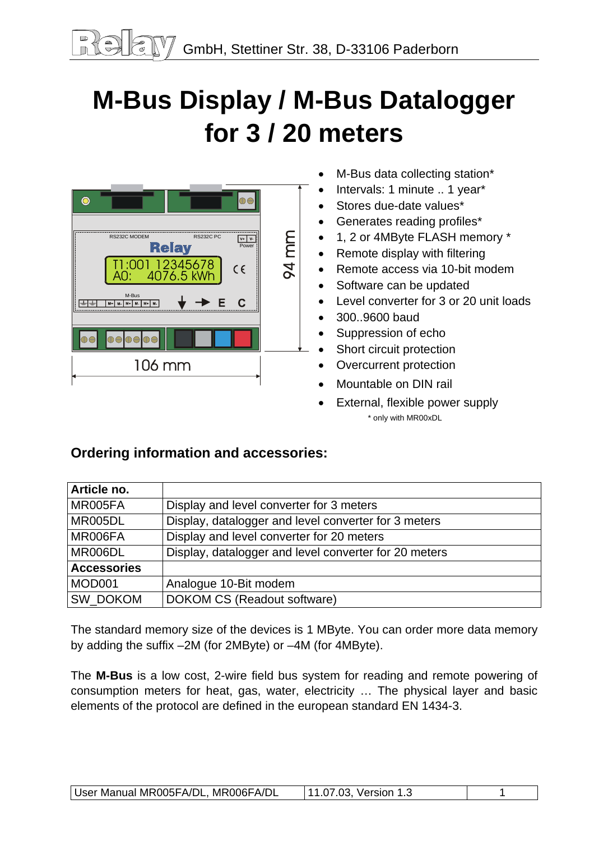# **M-Bus Display / M-Bus Datalogger for 3 / 20 meters**

| RS232C MODEM<br><b>RS232C PC</b><br>$V +$<br><b>Relay</b><br>Power | 94 mm |
|--------------------------------------------------------------------|-------|
| T1:001 12345678<br>A0: 4076.5 kWh<br>$\epsilon$                    |       |
| M-Bus<br>E<br>C<br>$M +$<br>M-<br>M+<br>м.<br>$M +$<br>м.          |       |
| <b>DO</b><br>OE                                                    |       |
| 106 mm                                                             |       |
|                                                                    |       |

- M-Bus data collecting station\*
- Intervals: 1 minute .. 1 year\*
- Stores due-date values\*
- Generates reading profiles\*
- 1, 2 or 4MByte FLASH memory \*
- Remote display with filtering
- Remote access via 10-bit modem
- Software can be updated
- Level converter for 3 or 20 unit loads
- 300..9600 baud
- Suppression of echo
- Short circuit protection
- Overcurrent protection
- Mountable on DIN rail
- External, flexible power supply \* only with MR00xDL

# **Ordering information and accessories:**

| Article no.        |                                                       |
|--------------------|-------------------------------------------------------|
| MR005FA            | Display and level converter for 3 meters              |
| MR005DL            | Display, datalogger and level converter for 3 meters  |
| MR006FA            | Display and level converter for 20 meters             |
| MR006DL            | Display, datalogger and level converter for 20 meters |
| <b>Accessories</b> |                                                       |
| MOD001             | Analogue 10-Bit modem                                 |
| SW_DOKOM           | DOKOM CS (Readout software)                           |

The standard memory size of the devices is 1 MByte. You can order more data memory by adding the suffix –2M (for 2MByte) or –4M (for 4MByte).

The **M-Bus** is a low cost, 2-wire field bus system for reading and remote powering of consumption meters for heat, gas, water, electricity … The physical layer and basic elements of the protocol are defined in the european standard EN 1434-3.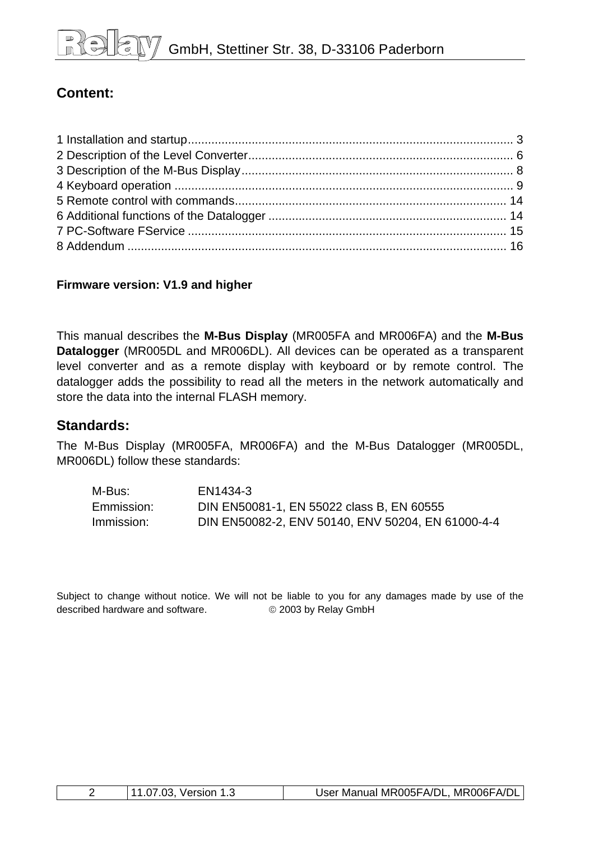# **Content:**

## **Firmware version: V1.9 and higher**

This manual describes the **M-Bus Display** (MR005FA and MR006FA) and the **M-Bus Datalogger** (MR005DL and MR006DL). All devices can be operated as a transparent level converter and as a remote display with keyboard or by remote control. The datalogger adds the possibility to read all the meters in the network automatically and store the data into the internal FLASH memory.

# **Standards:**

The M-Bus Display (MR005FA, MR006FA) and the M-Bus Datalogger (MR005DL, MR006DL) follow these standards:

| M-Bus:     | EN1434-3                                          |
|------------|---------------------------------------------------|
| Emmission: | DIN EN50081-1, EN 55022 class B, EN 60555         |
| Immission: | DIN EN50082-2, ENV 50140, ENV 50204, EN 61000-4-4 |

Subject to change without notice. We will not be liable to you for any damages made by use of the described hardware and software. © 2003 by Relay GmbH

|  | 11.07.03, Version 1.3 | User Manual MR005FA/DL, MR006FA/DL, |
|--|-----------------------|-------------------------------------|
|--|-----------------------|-------------------------------------|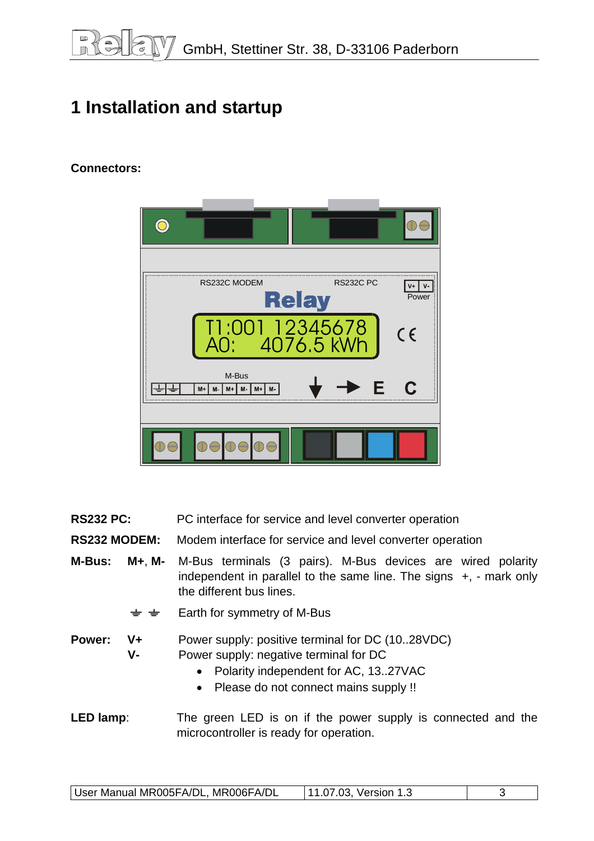# <span id="page-2-0"></span>**1 Installation and startup**

## **Connectors:**

| RS232C MODEM                             | <b>RS232C PC</b><br><b>Relay</b> | $V+$<br>γ.<br>Power |
|------------------------------------------|----------------------------------|---------------------|
|                                          | T1:001 12345678                  | $C \in$             |
| M-Bus<br>M+<br>M-<br>$M + M$<br>M+<br>М- | E                                | C                   |
| DADE                                     |                                  |                     |

**RS232 PC:** PC interface for service and level converter operation

**RS232 MODEM:** Modem interface for service and level converter operation

**M-Bus: M+**, **M-** M-Bus terminals (3 pairs). M-Bus devices are wired polarity independent in parallel to the same line. The signs +, - mark only the different bus lines.

> Earth for symmetry of M-Bus  $\pm$   $\pm$

**Power: V+** Power supply: positive terminal for DC (10..28VDC) **V-** Power supply: negative terminal for DC

• Polarity independent for AC, 13..27VAC

• Please do not connect mains supply !!

**LED lamp:** The green LED is on if the power supply is connected and the microcontroller is ready for operation.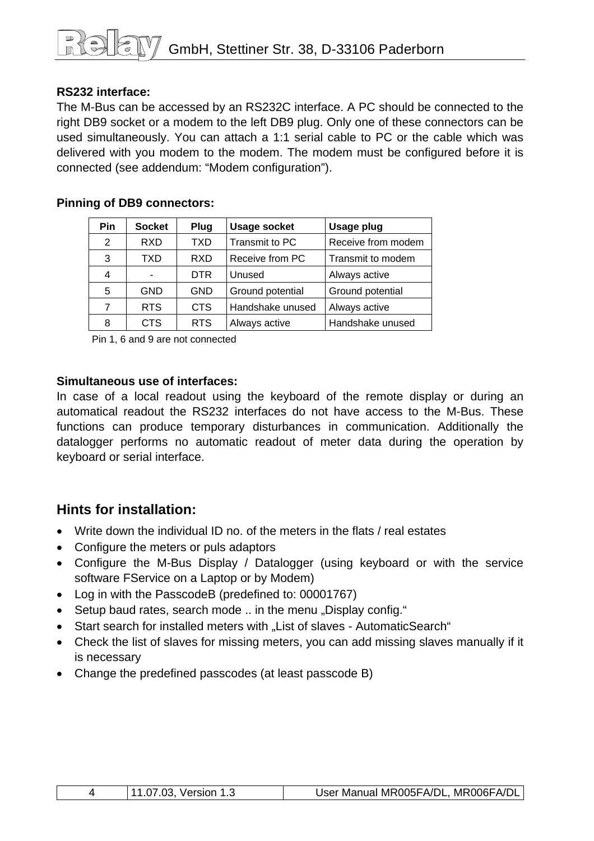## **RS232 interface:**

The M-Bus can be accessed by an RS232C interface. A PC should be connected to the right DB9 socket or a modem to the left DB9 plug. Only one of these connectors can be used simultaneously. You can attach a 1:1 serial cable to PC or the cable which was delivered with you modem to the modem. The modem must be configured before it is connected (see addendum: "Modem configuration").

| <b>Pin</b> | <b>Socket</b>  | Plug       | <b>Usage socket</b> | <b>Usage plug</b>  |
|------------|----------------|------------|---------------------|--------------------|
| 2          | <b>RXD</b>     | TXD        | Transmit to PC      | Receive from modem |
| 3          | TXD            | RXD        | Receive from PC     | Transmit to modem  |
| 4          | $\blacksquare$ | <b>DTR</b> | Unused              | Always active      |
| 5          | <b>GND</b>     | <b>GND</b> | Ground potential    | Ground potential   |
| 7          | <b>RTS</b>     | <b>CTS</b> | Handshake unused    | Always active      |
| 8          | <b>CTS</b>     | <b>RTS</b> | Always active       | Handshake unused   |

#### **Pinning of DB9 connectors:**

Pin 1, 6 and 9 are not connected

#### **Simultaneous use of interfaces:**

In case of a local readout using the keyboard of the remote display or during an automatical readout the RS232 interfaces do not have access to the M-Bus. These functions can produce temporary disturbances in communication. Additionally the datalogger performs no automatic readout of meter data during the operation by keyboard or serial interface.

# **Hints for installation:**

- Write down the individual ID no. of the meters in the flats / real estates
- Configure the meters or puls adaptors
- Configure the M-Bus Display / Datalogger (using keyboard or with the service software FService on a Laptop or by Modem)
- Log in with the PasscodeB (predefined to: 00001767)
- Setup baud rates, search mode .. in the menu "Display config."
- Start search for installed meters with "List of slaves AutomaticSearch"
- Check the list of slaves for missing meters, you can add missing slaves manually if it is necessary
- Change the predefined passcodes (at least passcode B)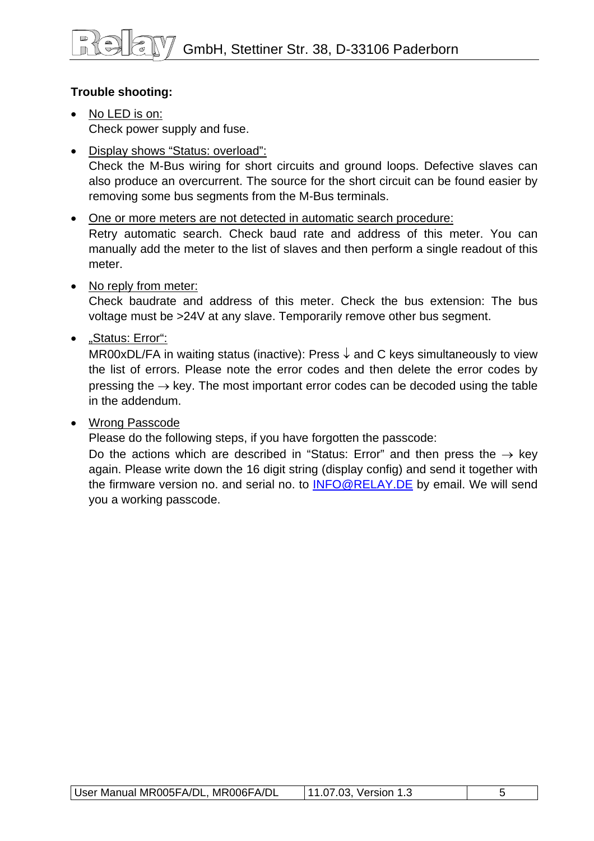# **Trouble shooting:**

- No LED is on: Check power supply and fuse.
- Display shows "Status: overload": Check the M-Bus wiring for short circuits and ground loops. Defective slaves can also produce an overcurrent. The source for the short circuit can be found easier by removing some bus segments from the M-Bus terminals.
- One or more meters are not detected in automatic search procedure: Retry automatic search. Check baud rate and address of this meter. You can manually add the meter to the list of slaves and then perform a single readout of this meter.
- No reply from meter:

Check baudrate and address of this meter. Check the bus extension: The bus voltage must be >24V at any slave. Temporarily remove other bus segment.

• "Status: Error":

MR00xDL/FA in waiting status (inactive): Press  $\downarrow$  and C keys simultaneously to view the list of errors. Please note the error codes and then delete the error codes by pressing the  $\rightarrow$  key. The most important error codes can be decoded using the table in the addendum.

# • Wrong Passcode

Please do the following steps, if you have forgotten the passcode:

Do the actions which are described in "Status: Error" and then press the  $\rightarrow$  key again. Please write down the 16 digit string (display config) and send it together with the firmware version no. and serial no. to [INFO@RELAY.DE](mailto:INFO@RELAY.DE) by email. We will send you a working passcode.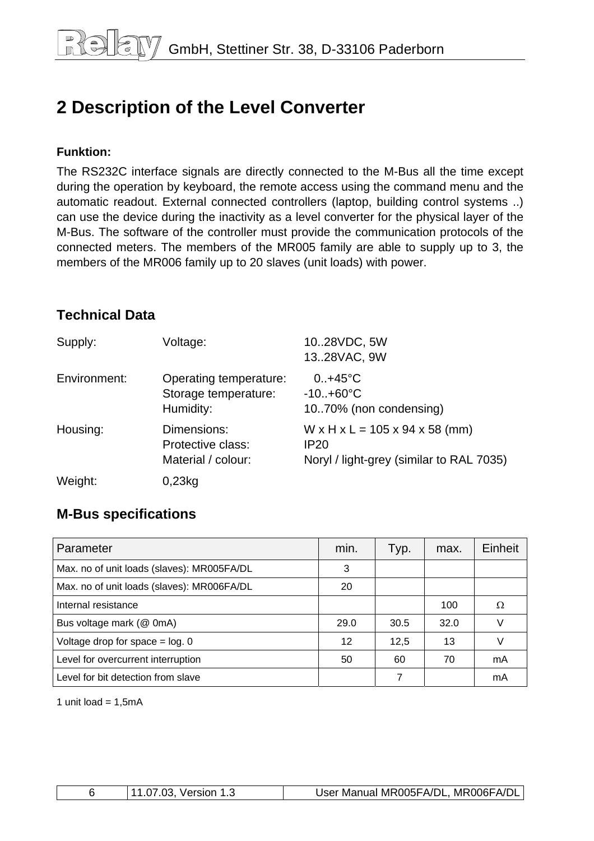# <span id="page-5-0"></span>**2 Description of the Level Converter**

#### **Funktion:**

The RS232C interface signals are directly connected to the M-Bus all the time except during the operation by keyboard, the remote access using the command menu and the automatic readout. External connected controllers (laptop, building control systems ..) can use the device during the inactivity as a level converter for the physical layer of the M-Bus. The software of the controller must provide the communication protocols of the connected meters. The members of the MR005 family are able to supply up to 3, the members of the MR006 family up to 20 slaves (unit loads) with power.

# **Technical Data**

| Supply:      | Voltage:                                                    | 1028VDC, 5W<br>1328VAC, 9W                                                                                           |
|--------------|-------------------------------------------------------------|----------------------------------------------------------------------------------------------------------------------|
| Environment: | Operating temperature:<br>Storage temperature:<br>Humidity: | $0.1 + 45^{\circ}C$<br>$-10. + 60^{\circ}C$<br>1070% (non condensing)                                                |
| Housing:     | Dimensions:<br>Protective class:<br>Material / colour:      | $W \times H \times L = 105 \times 94 \times 58$ (mm)<br>IP <sub>20</sub><br>Noryl / light-grey (similar to RAL 7035) |
| Weight:      | 0,23kg                                                      |                                                                                                                      |

# **M-Bus specifications**

| Parameter                                  | min. | Typ. | max. | Einheit |
|--------------------------------------------|------|------|------|---------|
| Max. no of unit loads (slaves): MR005FA/DL | 3    |      |      |         |
| Max. no of unit loads (slaves): MR006FA/DL | 20   |      |      |         |
| Internal resistance                        |      |      | 100  | Ω       |
| Bus voltage mark (@ 0mA)                   | 29.0 | 30.5 | 32.0 |         |
| Voltage drop for space $=$ log. 0          | 12   | 12,5 | 13   |         |
| Level for overcurrent interruption         | 50   | 60   | 70   | mA      |
| Level for bit detection from slave         |      | 7    |      | mA      |

1 unit load =  $1,5mA$ 

| 11.07.03. Version 1.3 | User Manual MR005FA/DL, MR006FA/DL |
|-----------------------|------------------------------------|
|                       |                                    |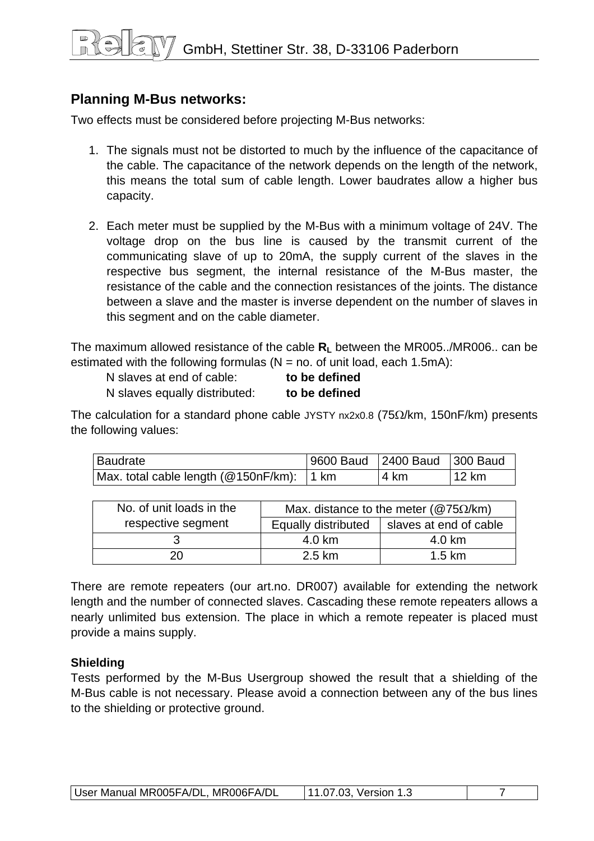# **Planning M-Bus networks:**

Two effects must be considered before projecting M-Bus networks:

- 1. The signals must not be distorted to much by the influence of the capacitance of the cable. The capacitance of the network depends on the length of the network, this means the total sum of cable length. Lower baudrates allow a higher bus capacity.
- 2. Each meter must be supplied by the M-Bus with a minimum voltage of 24V. The voltage drop on the bus line is caused by the transmit current of the communicating slave of up to 20mA, the supply current of the slaves in the respective bus segment, the internal resistance of the M-Bus master, the resistance of the cable and the connection resistances of the joints. The distance between a slave and the master is inverse dependent on the number of slaves in this segment and on the cable diameter.

The maximum allowed resistance of the cable  $R<sub>L</sub>$  between the MR005../MR006.. can be estimated with the following formulas ( $N =$  no. of unit load, each 1.5mA):

| N slaves at end of cable:     | to be defined |
|-------------------------------|---------------|
| N slaves equally distributed: | to be defined |

The calculation for a standard phone cable JYSTY  $nx2x0.8$  (75 $\Omega$ /km, 150nF/km) presents the following values:

| Baudrate                                  | 9600 Baud 2400 Baud 300 Baud |      |       |
|-------------------------------------------|------------------------------|------|-------|
| Max. total cable length (@150nF/km): 1 km |                              | 4 km | 12 km |

| No. of unit loads in the |                     | Max. distance to the meter ( $@75\Omega/km$ ) |
|--------------------------|---------------------|-----------------------------------------------|
| respective segment       | Equally distributed | slaves at end of cable                        |
|                          | 4.0 km              | 4.0 km                                        |
| 20                       | 2.5 km              | $1.5 \text{ km}$                              |

There are remote repeaters (our art.no. DR007) available for extending the network length and the number of connected slaves. Cascading these remote repeaters allows a nearly unlimited bus extension. The place in which a remote repeater is placed must provide a mains supply.

## **Shielding**

Tests performed by the M-Bus Usergroup showed the result that a shielding of the M-Bus cable is not necessary. Please avoid a connection between any of the bus lines to the shielding or protective ground.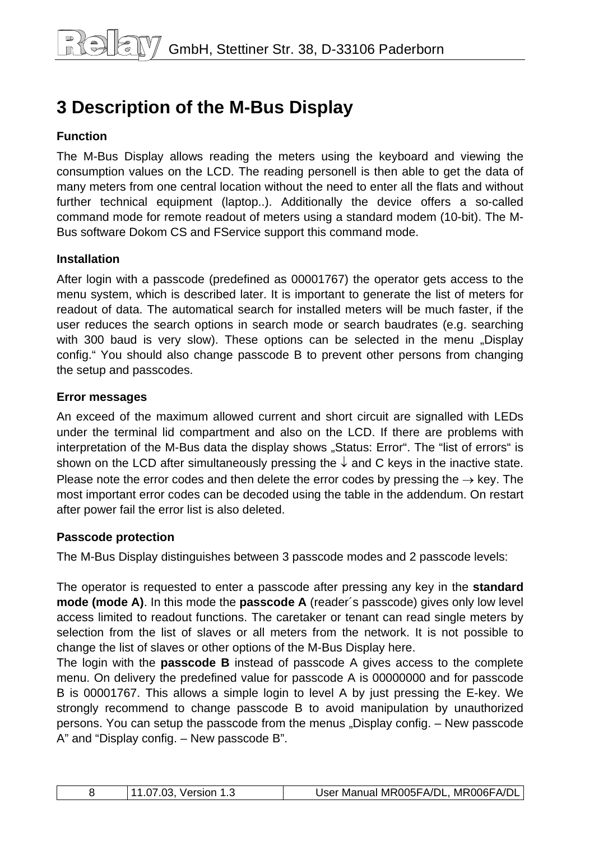# <span id="page-7-0"></span>**3 Description of the M-Bus Display**

# **Function**

The M-Bus Display allows reading the meters using the keyboard and viewing the consumption values on the LCD. The reading personell is then able to get the data of many meters from one central location without the need to enter all the flats and without further technical equipment (laptop..). Additionally the device offers a so-called command mode for remote readout of meters using a standard modem (10-bit). The M-Bus software Dokom CS and FService support this command mode.

## **Installation**

After login with a passcode (predefined as 00001767) the operator gets access to the menu system, which is described later. It is important to generate the list of meters for readout of data. The automatical search for installed meters will be much faster, if the user reduces the search options in search mode or search baudrates (e.g. searching with 300 baud is very slow). These options can be selected in the menu "Display config." You should also change passcode B to prevent other persons from changing the setup and passcodes.

#### **Error messages**

An exceed of the maximum allowed current and short circuit are signalled with LEDs under the terminal lid compartment and also on the LCD. If there are problems with interpretation of the M-Bus data the display shows "Status: Error". The "list of errors" is shown on the LCD after simultaneously pressing the  $\downarrow$  and C keys in the inactive state. Please note the error codes and then delete the error codes by pressing the  $\rightarrow$  key. The most important error codes can be decoded using the table in the addendum. On restart after power fail the error list is also deleted.

## **Passcode protection**

The M-Bus Display distinguishes between 3 passcode modes and 2 passcode levels:

The operator is requested to enter a passcode after pressing any key in the **standard mode (mode A)**. In this mode the **passcode A** (reader´s passcode) gives only low level access limited to readout functions. The caretaker or tenant can read single meters by selection from the list of slaves or all meters from the network. It is not possible to change the list of slaves or other options of the M-Bus Display here.

The login with the **passcode B** instead of passcode A gives access to the complete menu. On delivery the predefined value for passcode A is 00000000 and for passcode B is 00001767. This allows a simple login to level A by just pressing the E-key. We strongly recommend to change passcode B to avoid manipulation by unauthorized persons. You can setup the passcode from the menus "Display config. – New passcode A" and "Display config. – New passcode B".

|  |  | <sup>1</sup> 11.07.03, Version 1.3 | User Manual MR005FA/DL, MR006FA/DL |
|--|--|------------------------------------|------------------------------------|
|--|--|------------------------------------|------------------------------------|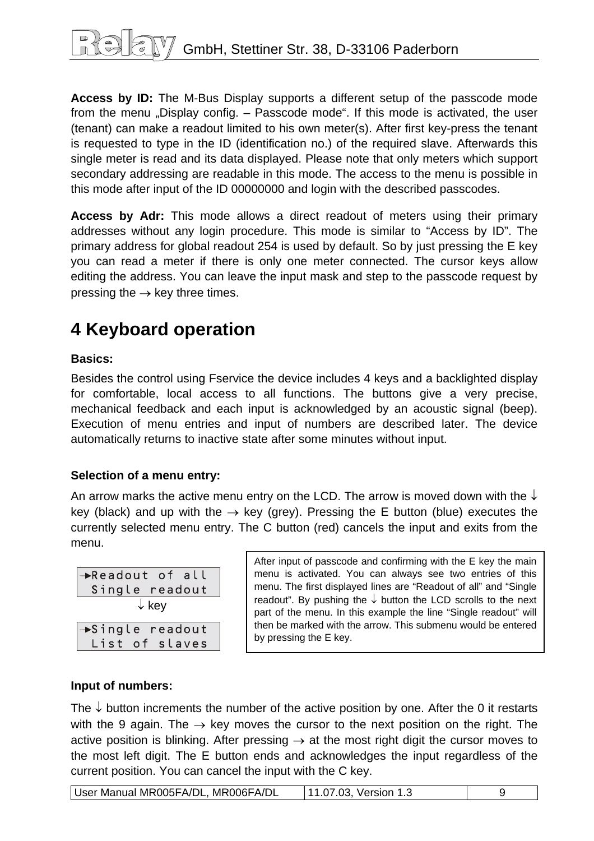<span id="page-8-0"></span>**Access by ID:** The M-Bus Display supports a different setup of the passcode mode from the menu "Display config. – Passcode mode". If this mode is activated, the user (tenant) can make a readout limited to his own meter(s). After first key-press the tenant is requested to type in the ID (identification no.) of the required slave. Afterwards this single meter is read and its data displayed. Please note that only meters which support secondary addressing are readable in this mode. The access to the menu is possible in this mode after input of the ID 00000000 and login with the described passcodes.

**Access by Adr:** This mode allows a direct readout of meters using their primary addresses without any login procedure. This mode is similar to "Access by ID". The primary address for global readout 254 is used by default. So by just pressing the E key you can read a meter if there is only one meter connected. The cursor keys allow editing the address. You can leave the input mask and step to the passcode request by pressing the  $\rightarrow$  key three times.

# **4 Keyboard operation**

## **Basics:**

Besides the control using Fservice the device includes 4 keys and a backlighted display for comfortable, local access to all functions. The buttons give a very precise, mechanical feedback and each input is acknowledged by an acoustic signal (beep). Execution of menu entries and input of numbers are described later. The device automatically returns to inactive state after some minutes without input.

## **Selection of a menu entry:**

An arrow marks the active menu entry on the LCD. The arrow is moved down with the  $\downarrow$ key (black) and up with the  $\rightarrow$  key (grey). Pressing the E button (blue) executes the currently selected menu entry. The C button (red) cancels the input and exits from the menu.

| $\rightarrow$ Readout of all<br>Single readout |  |  |
|------------------------------------------------|--|--|
| $\downarrow$ key                               |  |  |
| $\rightarrow$ Single readout                   |  |  |
| List of slaves                                 |  |  |

After input of passcode and confirming with the E key the main menu is activated. You can always see two entries of this menu. The first displayed lines are "Readout of all" and "Single readout". By pushing the  $\downarrow$  button the LCD scrolls to the next part of the menu. In this example the line "Single readout" will then be marked with the arrow. This submenu would be entered by pressing the E key.

# **Input of numbers:**

The  $\downarrow$  button increments the number of the active position by one. After the 0 it restarts with the 9 again. The  $\rightarrow$  key moves the cursor to the next position on the right. The active position is blinking. After pressing  $\rightarrow$  at the most right digit the cursor moves to the most left digit. The E button ends and acknowledges the input regardless of the current position. You can cancel the input with the C key.

| User Manual MR005FA/DL, MR006FA/DL | 11.07.03, Version 1.3 |  |
|------------------------------------|-----------------------|--|
|------------------------------------|-----------------------|--|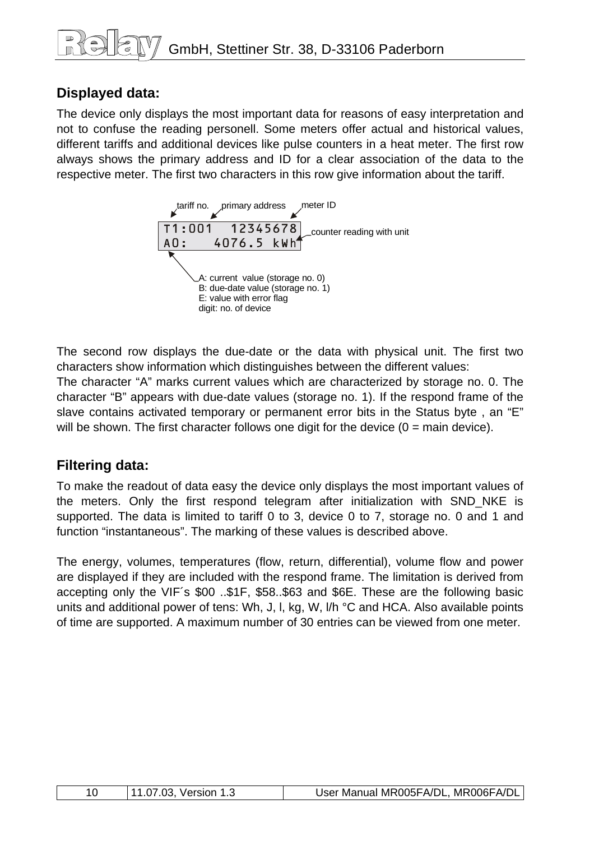# **Displayed data:**

The device only displays the most important data for reasons of easy interpretation and not to confuse the reading personell. Some meters offer actual and historical values, different tariffs and additional devices like pulse counters in a heat meter. The first row always shows the primary address and ID for a clear association of the data to the respective meter. The first two characters in this row give information about the tariff.



The second row displays the due-date or the data with physical unit. The first two characters show information which distinguishes between the different values:

The character "A" marks current values which are characterized by storage no. 0. The character "B" appears with due-date values (storage no. 1). If the respond frame of the slave contains activated temporary or permanent error bits in the Status byte , an "E" will be shown. The first character follows one digit for the device  $(0 = \text{main device})$ .

# **Filtering data:**

To make the readout of data easy the device only displays the most important values of the meters. Only the first respond telegram after initialization with SND\_NKE is supported. The data is limited to tariff 0 to 3, device 0 to 7, storage no. 0 and 1 and function "instantaneous". The marking of these values is described above.

The energy, volumes, temperatures (flow, return, differential), volume flow and power are displayed if they are included with the respond frame. The limitation is derived from accepting only the VIF´s \$00 ..\$1F, \$58..\$63 and \$6E. These are the following basic units and additional power of tens: Wh, J, I, kg, W, I/h °C and HCA. Also available points of time are supported. A maximum number of 30 entries can be viewed from one meter.

|  | 11.07.03, Version 1.3 | User Manual MR005FA/DL, MR006FA/DL |
|--|-----------------------|------------------------------------|
|--|-----------------------|------------------------------------|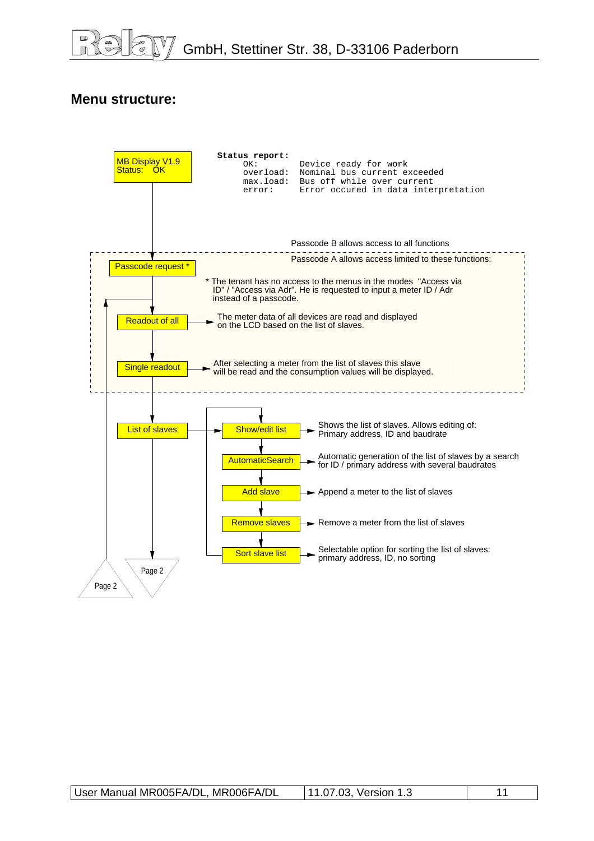# **Menu structure:**

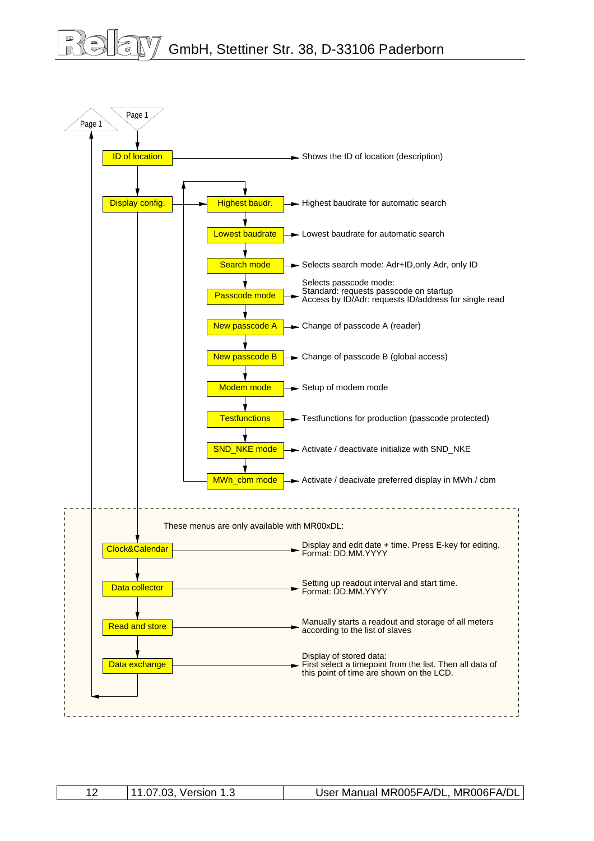# GmbH, Stettiner Str. 38, D-33106 Paderborn



|--|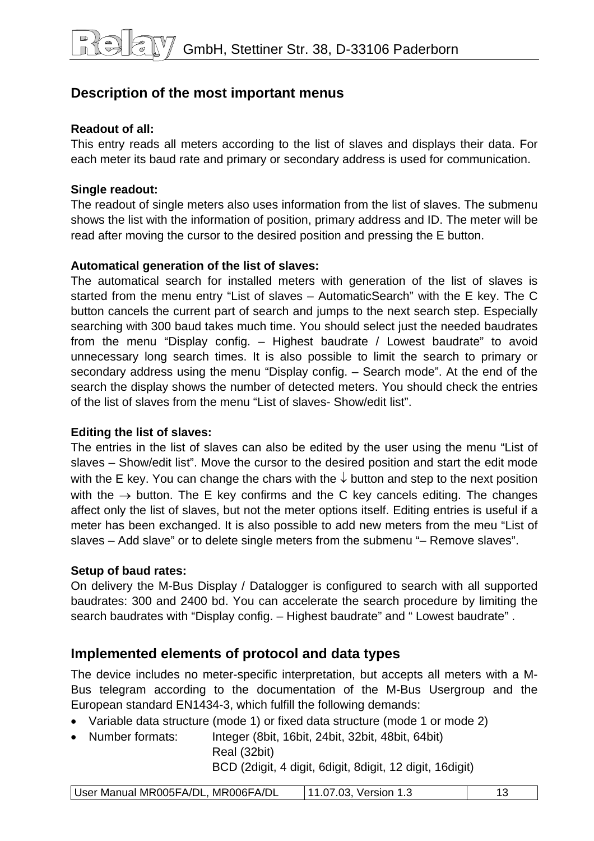# **Description of the most important menus**

## **Readout of all:**

This entry reads all meters according to the list of slaves and displays their data. For each meter its baud rate and primary or secondary address is used for communication.

## **Single readout:**

The readout of single meters also uses information from the list of slaves. The submenu shows the list with the information of position, primary address and ID. The meter will be read after moving the cursor to the desired position and pressing the E button.

## **Automatical generation of the list of slaves:**

The automatical search for installed meters with generation of the list of slaves is started from the menu entry "List of slaves – AutomaticSearch" with the E key. The C button cancels the current part of search and jumps to the next search step. Especially searching with 300 baud takes much time. You should select just the needed baudrates from the menu "Display config. – Highest baudrate / Lowest baudrate" to avoid unnecessary long search times. It is also possible to limit the search to primary or secondary address using the menu "Display config. – Search mode". At the end of the search the display shows the number of detected meters. You should check the entries of the list of slaves from the menu "List of slaves- Show/edit list"

## **Editing the list of slaves:**

The entries in the list of slaves can also be edited by the user using the menu "List of slaves – Show/edit list". Move the cursor to the desired position and start the edit mode with the E key. You can change the chars with the  $\downarrow$  button and step to the next position with the  $\rightarrow$  button. The E key confirms and the C key cancels editing. The changes affect only the list of slaves, but not the meter options itself. Editing entries is useful if a meter has been exchanged. It is also possible to add new meters from the meu "List of slaves – Add slave" or to delete single meters from the submenu "– Remove slaves".

## **Setup of baud rates:**

On delivery the M-Bus Display / Datalogger is configured to search with all supported baudrates: 300 and 2400 bd. You can accelerate the search procedure by limiting the search baudrates with "Display config. – Highest baudrate" and " Lowest baudrate" .

# **Implemented elements of protocol and data types**

The device includes no meter-specific interpretation, but accepts all meters with a M-Bus telegram according to the documentation of the M-Bus Usergroup and the European standard EN1434-3, which fulfill the following demands:

- Variable data structure (mode 1) or fixed data structure (mode 1 or mode 2)
- Number formats: Integer (8bit, 16bit, 24bit, 32bit, 48bit, 64bit)

Real (32bit)

BCD (2digit, 4 digit, 6digit, 8digit, 12 digit, 16digit)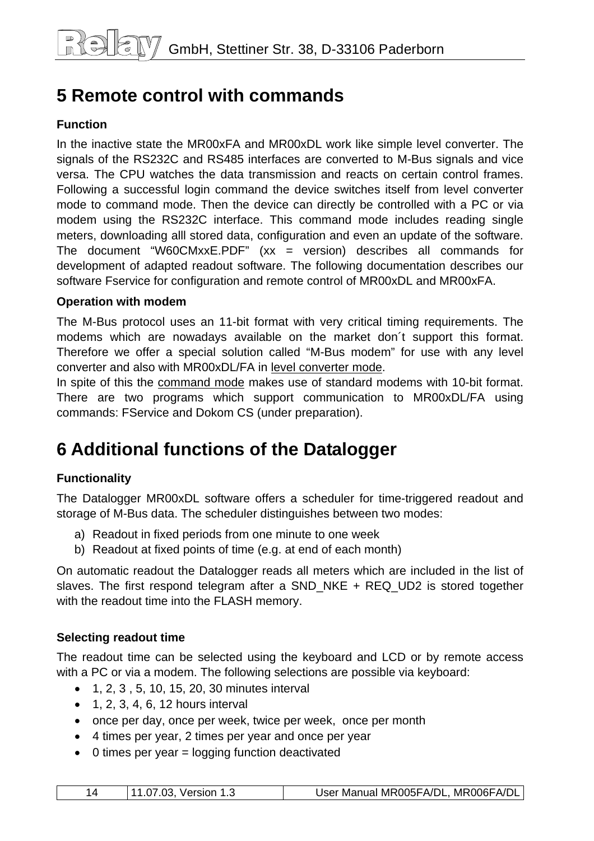# <span id="page-13-0"></span>**5 Remote control with commands**

# **Function**

In the inactive state the MR00xFA and MR00xDL work like simple level converter. The signals of the RS232C and RS485 interfaces are converted to M-Bus signals and vice versa. The CPU watches the data transmission and reacts on certain control frames. Following a successful login command the device switches itself from level converter mode to command mode. Then the device can directly be controlled with a PC or via modem using the RS232C interface. This command mode includes reading single meters, downloading alll stored data, configuration and even an update of the software. The document "W60CMxxE.PDF"  $(xx = version)$  describes all commands for development of adapted readout software. The following documentation describes our software Fservice for configuration and remote control of MR00xDL and MR00xFA.

#### **Operation with modem**

The M-Bus protocol uses an 11-bit format with very critical timing requirements. The modems which are nowadays available on the market don´t support this format. Therefore we offer a special solution called "M-Bus modem" for use with any level converter and also with MR00xDL/FA in level converter mode.

In spite of this the command mode makes use of standard modems with 10-bit format. There are two programs which support communication to MR00xDL/FA using commands: FService and Dokom CS (under preparation).

# **6 Additional functions of the Datalogger**

## **Functionality**

The Datalogger MR00xDL software offers a scheduler for time-triggered readout and storage of M-Bus data. The scheduler distinguishes between two modes:

- a) Readout in fixed periods from one minute to one week
- b) Readout at fixed points of time (e.g. at end of each month)

On automatic readout the Datalogger reads all meters which are included in the list of slaves. The first respond telegram after a SND\_NKE + REQ\_UD2 is stored together with the readout time into the FLASH memory.

#### **Selecting readout time**

The readout time can be selected using the keyboard and LCD or by remote access with a PC or via a modem. The following selections are possible via keyboard:

- 1, 2, 3 , 5, 10, 15, 20, 30 minutes interval
- $\bullet$  1, 2, 3, 4, 6, 12 hours interval
- once per day, once per week, twice per week, once per month
- 4 times per year, 2 times per year and once per year
- $\bullet$  0 times per year = logging function deactivated

| 11.07.03, Version 1.3 |  | User Manual MR005FA/DL, MR006FA/DL |
|-----------------------|--|------------------------------------|
|-----------------------|--|------------------------------------|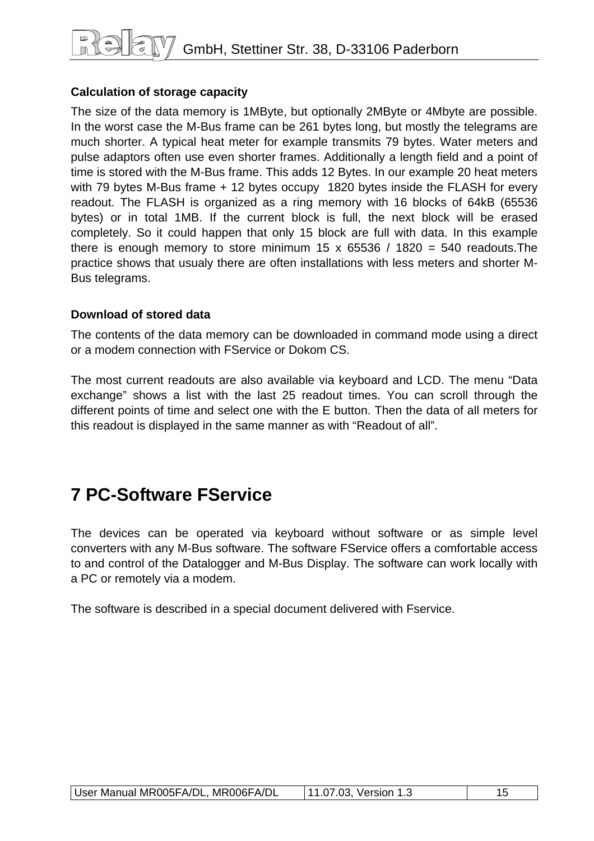# <span id="page-14-0"></span>**Calculation of storage capacity**

The size of the data memory is 1MByte, but optionally 2MByte or 4Mbyte are possible. In the worst case the M-Bus frame can be 261 bytes long, but mostly the telegrams are much shorter. A typical heat meter for example transmits 79 bytes. Water meters and pulse adaptors often use even shorter frames. Additionally a length field and a point of time is stored with the M-Bus frame. This adds 12 Bytes. In our example 20 heat meters with 79 bytes M-Bus frame + 12 bytes occupy 1820 bytes inside the FLASH for every readout. The FLASH is organized as a ring memory with 16 blocks of 64kB (65536 bytes) or in total 1MB. If the current block is full, the next block will be erased completely. So it could happen that only 15 block are full with data. In this example there is enough memory to store minimum 15 x 65536 / 1820 = 540 readouts. The practice shows that usualy there are often installations with less meters and shorter M-Bus telegrams.

## **Download of stored data**

The contents of the data memory can be downloaded in command mode using a direct or a modem connection with FService or Dokom CS.

The most current readouts are also available via keyboard and LCD. The menu "Data exchange" shows a list with the last 25 readout times. You can scroll through the different points of time and select one with the E button. Then the data of all meters for this readout is displayed in the same manner as with "Readout of all".

# **7 PC-Software FService**

The devices can be operated via keyboard without software or as simple level converters with any M-Bus software. The software FService offers a comfortable access to and control of the Datalogger and M-Bus Display. The software can work locally with a PC or remotely via a modem.

The software is described in a special document delivered with Fservice.